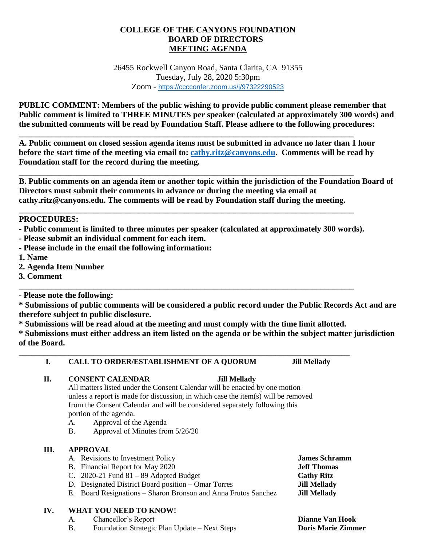# **COLLEGE OF THE CANYONS FOUNDATION BOARD OF DIRECTORS MEETING AGENDA**

26455 Rockwell Canyon Road, Santa Clarita, CA 91355 Tuesday, July 28, 2020 5:30pm Zoom - <https://cccconfer.zoom.us/j/97322290523>

**PUBLIC COMMENT: Members of the public wishing to provide public comment please remember that Public comment is limited to THREE MINUTES per speaker (calculated at approximately 300 words) and the submitted comments will be read by Foundation Staff. Please adhere to the following procedures:**

**A. Public comment on closed session agenda items must be submitted in advance no later than 1 hour before the start time of the meeting via email to: [cathy.ritz@canyons.edu.](mailto:cathy.ritz@canyons.edu) Comments will be read by Foundation staff for the record during the meeting.**

**\_\_\_\_\_\_\_\_\_\_\_\_\_\_\_\_\_\_\_\_\_\_\_\_\_\_\_\_\_\_\_\_\_\_\_\_\_\_\_\_\_\_\_\_\_\_\_\_\_\_\_\_\_\_\_\_\_\_\_\_\_\_\_\_\_\_\_\_\_\_\_\_\_\_\_\_\_\_\_\_\_**

**\_\_\_\_\_\_\_\_\_\_\_\_\_\_\_\_\_\_\_\_\_\_\_\_\_\_\_\_\_\_\_\_\_\_\_\_\_\_\_\_\_\_\_\_\_\_\_\_\_\_\_\_\_\_\_\_\_\_\_\_\_\_\_\_\_\_\_\_\_\_\_\_\_\_\_\_\_\_\_\_\_**

**\_\_\_\_\_\_\_\_\_\_\_\_\_\_\_\_\_\_\_\_\_\_\_\_\_\_\_\_\_\_\_\_\_\_\_\_\_\_\_\_\_\_\_\_\_\_\_\_\_\_\_\_\_\_\_\_\_\_\_\_\_\_\_\_\_\_\_\_\_\_\_\_\_\_\_\_\_\_\_\_\_**

**B. Public comments on an agenda item or another topic within the jurisdiction of the Foundation Board of Directors must submit their comments in advance or during the meeting via email at cathy.ritz@canyons.edu. The comments will be read by Foundation staff during the meeting.** 

## **PROCEDURES:**

**- Public comment is limited to three minutes per speaker (calculated at approximately 300 words).**

- **- Please submit an individual comment for each item.**
- **- Please include in the email the following information:**
- **1. Name**
- **2. Agenda Item Number**
- **3. Comment**

**- Please note the following:**

**\* Submissions of public comments will be considered a public record under the Public Records Act and are therefore subject to public disclosure.**

**\* Submissions will be read aloud at the meeting and must comply with the time limit allotted.**

**\_\_\_\_\_\_\_\_\_\_\_\_\_\_\_\_\_\_\_\_\_\_\_\_\_\_\_\_\_\_\_\_\_\_\_\_\_\_\_\_\_\_\_\_\_\_\_\_\_\_\_\_\_\_\_\_\_\_\_\_\_\_\_\_\_\_\_\_\_\_\_\_\_\_\_\_\_\_\_\_**

**\_\_\_\_\_\_\_\_\_\_\_\_\_\_\_\_\_\_\_\_\_\_\_\_\_\_\_\_\_\_\_\_\_\_\_\_\_\_\_\_\_\_\_\_\_\_\_\_\_\_\_\_\_\_\_\_\_\_\_\_\_\_\_\_\_\_\_\_\_\_\_\_\_\_\_\_\_\_\_\_\_**

**\* Submissions must either address an item listed on the agenda or be within the subject matter jurisdiction of the Board.**

## **I. CALL TO ORDER/ESTABLISHMENT OF A QUORUM Jill Mellady**

**II. CONSENT CALENDAR Jill Mellady**

All matters listed under the Consent Calendar will be enacted by one motion unless a report is made for discussion, in which case the item(s) will be removed from the Consent Calendar and will be considered separately following this portion of the agenda.

- A. Approval of the Agenda
- B. Approval of Minutes from 5/26/20

### **III. APPROVAL**

- A. Revisions to Investment Policy **James Schramm**
- B. Financial Report for May 2020 **Jeff Thomas**
- C. 2020-21 Fund 81 89 Adopted Budget **Cathy Ritz**
- D. Designated District Board position Omar Torres **Jill Mellady**
- E. Board Resignations Sharon Bronson and Anna Frutos Sanchez **Jill Mellady**

### **IV. WHAT YOU NEED TO KNOW!**

- A. Chancellor's Report **Dianne Van Hook**
- B. Foundation Strategic Plan Update Next Steps **Doris Marie Zimmer**